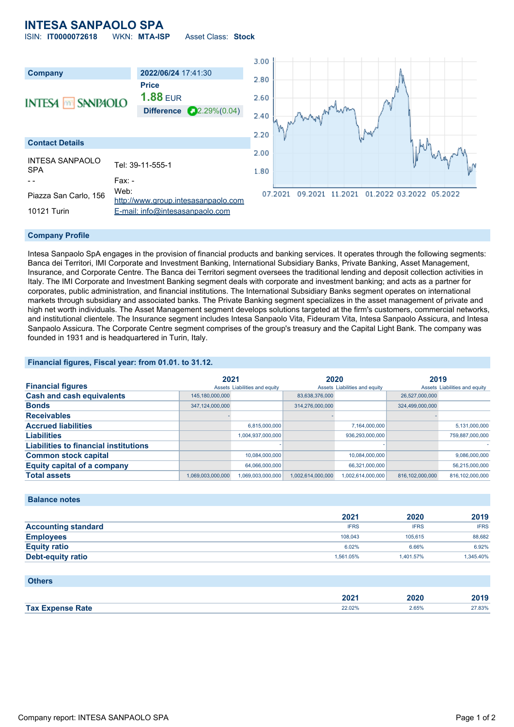## **INTESA SANPAOLO SPA** ISIN: **IT0000072618** WKN: **MTA-ISP** Asset Class: **Stock**

 $3.00$ **Company 2022/06/24** 17:41:30 2.80 **Price 1.88** EUR 2.60 **INTESA MM SANPAOLO Difference** 22.29%(0.04) 2.40 2.20 **Contact Details** 2.00 INTESA SANPAOLO INTESA SANPAULU<br>SPA 1.80 - - Fax: -Piazza San Carlo, 156 Web: 09.2021 11.2021 01.2022 03.2022 05.2022 07.2021 [http://www.group.intesasanpaolo.com](http://www.group.intesasanpaolo.com/) 10121 Turin [E-mail: info@intesasanpaolo.com](mailto:info@intesasanpaolo.com)

### **Company Profile**

Intesa Sanpaolo SpA engages in the provision of financial products and banking services. It operates through the following segments: Banca dei Territori, IMI Corporate and Investment Banking, International Subsidiary Banks, Private Banking, Asset Management, Insurance, and Corporate Centre. The Banca dei Territori segment oversees the traditional lending and deposit collection activities in Italy. The IMI Corporate and Investment Banking segment deals with corporate and investment banking; and acts as a partner for corporates, public administration, and financial institutions. The International Subsidiary Banks segment operates on international markets through subsidiary and associated banks. The Private Banking segment specializes in the asset management of private and high net worth individuals. The Asset Management segment develops solutions targeted at the firm's customers, commercial networks, and institutional clientele. The Insurance segment includes Intesa Sanpaolo Vita, Fideuram Vita, Intesa Sanpaolo Assicura, and Intesa Sanpaolo Assicura. The Corporate Centre segment comprises of the group's treasury and the Capital Light Bank. The company was founded in 1931 and is headquartered in Turin, Italy.

### **Financial figures, Fiscal year: from 01.01. to 31.12.**

|                                              | 2021                          |                   | 2020                          |                   | 2019                          |                 |
|----------------------------------------------|-------------------------------|-------------------|-------------------------------|-------------------|-------------------------------|-----------------|
| <b>Financial figures</b>                     | Assets Liabilities and equity |                   | Assets Liabilities and equity |                   | Assets Liabilities and equity |                 |
| <b>Cash and cash equivalents</b>             | 145,180,000,000               |                   | 83,638,376,000                |                   | 26,527,000,000                |                 |
| <b>Bonds</b>                                 | 347.124.000.000               |                   | 314,276,000,000               |                   | 324,499,000,000               |                 |
| <b>Receivables</b>                           |                               |                   |                               |                   |                               |                 |
| <b>Accrued liabilities</b>                   |                               | 6,815,000,000     |                               | 7,164,000,000     |                               | 5,131,000,000   |
| <b>Liabilities</b>                           |                               | 1,004,937,000,000 |                               | 936,293,000,000   |                               | 759,887,000,000 |
| <b>Liabilities to financial institutions</b> |                               |                   |                               |                   |                               |                 |
| <b>Common stock capital</b>                  |                               | 10,084,000,000    |                               | 10.084.000.000    |                               | 9,086,000,000   |
| <b>Equity capital of a company</b>           |                               | 64.066.000.000    |                               | 66.321.000.000    |                               | 56,215,000,000  |
| <b>Total assets</b>                          | 1.069.003.000.000             | 1.069.003.000.000 | 1.002.614.000.000             | 1.002.614.000.000 | 816.102.000.000               | 816.102.000.000 |

### **Balance notes**

|                            | 2021        | 2020        | 2019        |
|----------------------------|-------------|-------------|-------------|
| <b>Accounting standard</b> | <b>IFRS</b> | <b>IFRS</b> | <b>IFRS</b> |
| <b>Employees</b>           | 108.043     | 105.615     | 88.682      |
| <b>Equity ratio</b>        | 6.02%       | 6.66%       | 6.92%       |
| Debt-equity ratio          | 1.561.05%   | 1.401.57%   | 1.345.40%   |

| <b>Others</b>           |        |       |        |
|-------------------------|--------|-------|--------|
|                         | 2021   | 2020  | 2019   |
| <b>Tax Expense Rate</b> | 22.02% | 2.65% | 27.83% |